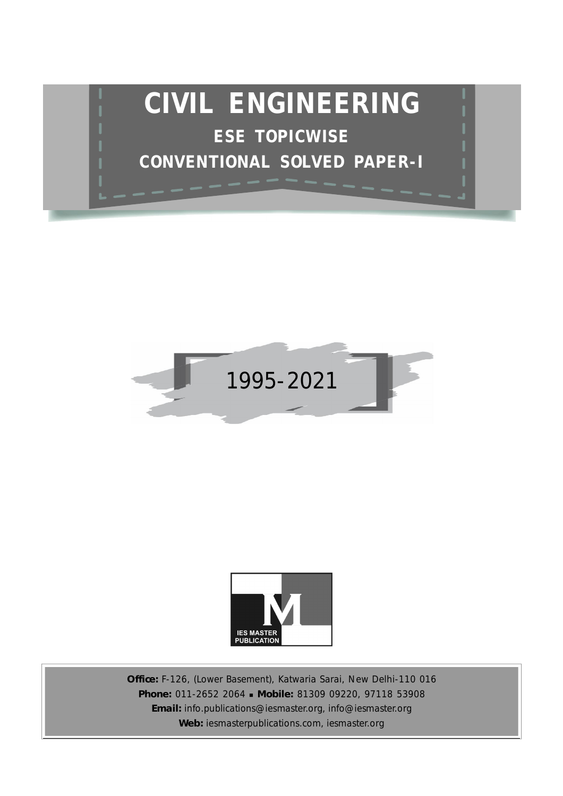





**Office:** F-126, (Lower Basement), Katwaria Sarai, New Delhi-110 016 **Phone:** 011-2652 2064 **Mobile:** 81309 09220, 97118 53908 **Email:** info.publications@iesmaster.org, info@iesmaster.org **Web:** iesmasterpublications.com, iesmaster.org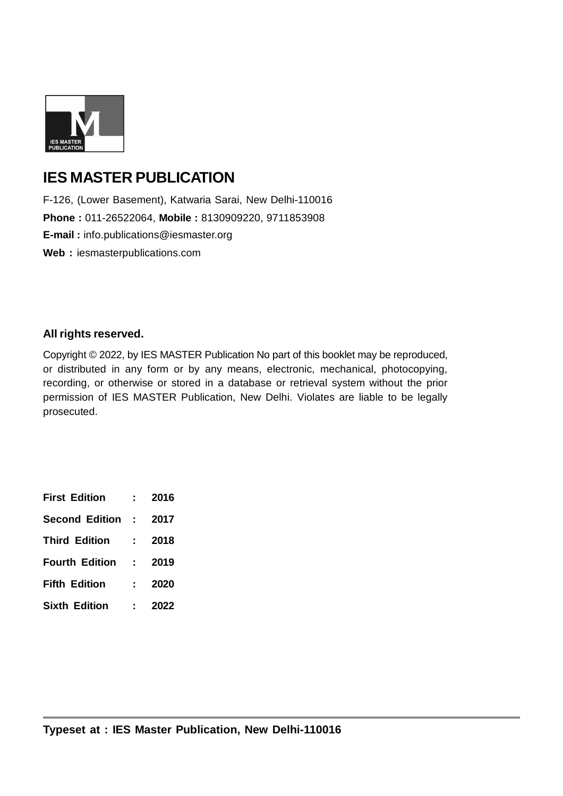

# **IES MASTER PUBLICATION**

F-126, (Lower Basement), Katwaria Sarai, New Delhi-110016 **Phone :** 011-26522064, **Mobile :** 8130909220, 9711853908 **E-mail :** info.publications@iesmaster.org **Web :** iesmasterpublications.com

### **All rights reserved.**

Copyright © 2022, by IES MASTER Publication No part of this booklet may be reproduced, or distributed in any form or by any means, electronic, mechanical, photocopying, recording, or otherwise or stored in a database or retrieval system without the prior permission of IES MASTER Publication, New Delhi. Violates are liable to be legally prosecuted.

| <b>First Edition</b>  |                         | 2016 |
|-----------------------|-------------------------|------|
| <b>Second Edition</b> | <b>Contract</b>         | 2017 |
| <b>Third Edition</b>  |                         | 2018 |
| <b>Fourth Edition</b> | $\sim 100$ km s $^{-1}$ | 2019 |
| <b>Fifth Edition</b>  |                         | 2020 |
| <b>Sixth Edition</b>  |                         | 2022 |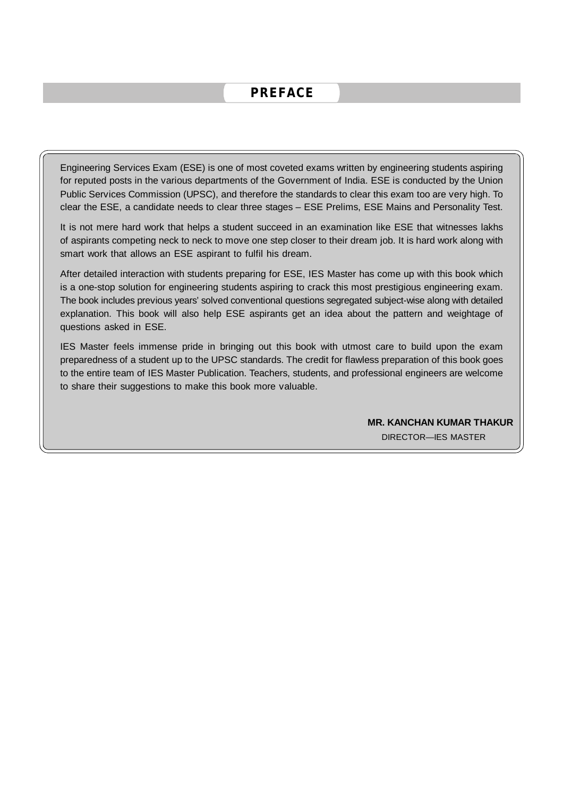## **PREFACE**

Engineering Services Exam (ESE) is one of most coveted exams written by engineering students aspiring for reputed posts in the various departments of the Government of India. ESE is conducted by the Union Public Services Commission (UPSC), and therefore the standards to clear this exam too are very high. To clear the ESE, a candidate needs to clear three stages – ESE Prelims, ESE Mains and Personality Test.

It is not mere hard work that helps a student succeed in an examination like ESE that witnesses lakhs of aspirants competing neck to neck to move one step closer to their dream job. It is hard work along with smart work that allows an ESE aspirant to fulfil his dream.

After detailed interaction with students preparing for ESE, IES Master has come up with this book which is a one-stop solution for engineering students aspiring to crack this most prestigious engineering exam. The book includes previous years' solved conventional questions segregated subject-wise along with detailed explanation. This book will also help ESE aspirants get an idea about the pattern and weightage of questions asked in ESE.

IES Master feels immense pride in bringing out this book with utmost care to build upon the exam preparedness of a student up to the UPSC standards. The credit for flawless preparation of this book goes to the entire team of IES Master Publication. Teachers, students, and professional engineers are welcome to share their suggestions to make this book more valuable.

> **MR. KANCHAN KUMAR THAKUR** DIRECTOR—IES MASTER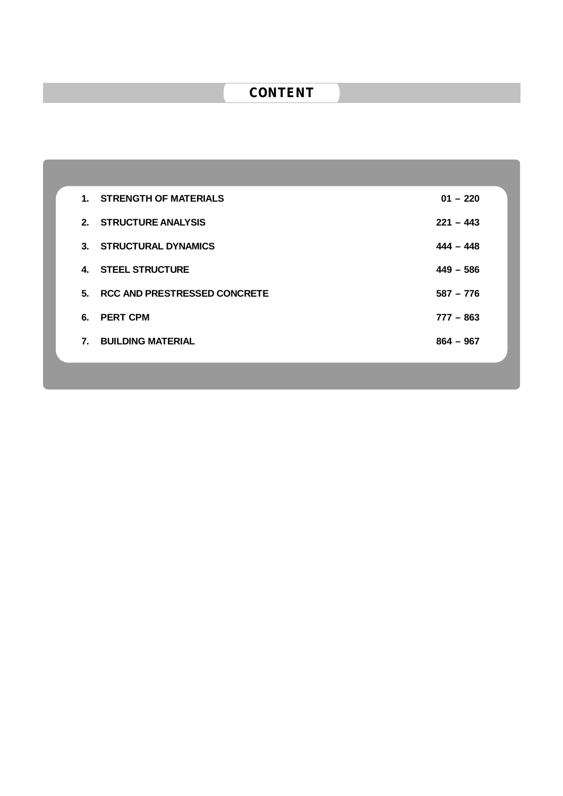# **CONTENT**

|    | 1. STRENGTH OF MATERIALS        | $01 - 220$  |
|----|---------------------------------|-------------|
|    | 2. STRUCTURE ANALYSIS           | $221 - 443$ |
|    | 3. STRUCTURAL DYNAMICS          | $444 - 448$ |
|    | 4. STEEL STRUCTURE              | $449 - 586$ |
|    | 5. RCC AND PRESTRESSED CONCRETE | $587 - 776$ |
|    | 6. PERT CPM                     | $777 - 863$ |
| 7. | <b>BUILDING MATERIAL</b>        | $864 - 967$ |
|    |                                 |             |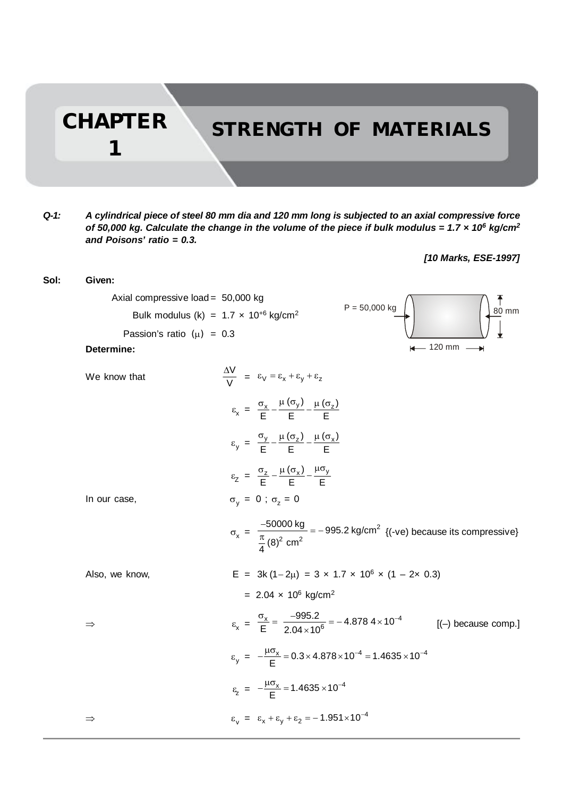**CHAPTER STRENGTH OF MATERIALS**

*Q-1: A cylindrical piece of steel 80 mm dia and 120 mm long is subjected to an axial compressive force of 50,000 kg. Calculate the change in the volume of the piece if bulk modulus = 1.7 × 10<sup>6</sup> kg/cm<sup>2</sup> and Poisons' ratio = 0.3.*

**1**

### *[10 Marks, ESE-1997]*

| Sol: | Given:                                                     |                                                                                                                                   |
|------|------------------------------------------------------------|-----------------------------------------------------------------------------------------------------------------------------------|
|      | Axial compressive load = 50,000 kg                         | $\overline{6}$<br>80 mm<br>$P = 50,000$ kg                                                                                        |
|      | Bulk modulus (k) = $1.7 \times 10^{+6}$ kg/cm <sup>2</sup> |                                                                                                                                   |
|      | Passion's ratio $(\mu) = 0.3$                              |                                                                                                                                   |
|      | Determine:                                                 | $\leftarrow$ 120 mm $-$                                                                                                           |
|      | We know that                                               | $\frac{\Delta V}{V} = \epsilon_V = \epsilon_x + \epsilon_y + \epsilon_z$                                                          |
|      |                                                            | $\varepsilon_{\text{x}} = \frac{\sigma_{\text{x}}}{F} - \frac{\mu(\sigma_{\text{y}})}{F} - \frac{\mu(\sigma_{\text{z}})}{F}$      |
|      |                                                            | $\varepsilon_y = \frac{\sigma_y}{F} - \frac{\mu(\sigma_z)}{F} - \frac{\mu(\sigma_x)}{F}$                                          |
|      |                                                            | $\varepsilon$ <sub>Z</sub> = $\frac{\sigma_z}{F} - \frac{\mu(\sigma_x)}{F} - \frac{\mu \sigma_y}{F}$                              |
|      | In our case,                                               | $\sigma_v = 0$ ; $\sigma_z = 0$                                                                                                   |
|      |                                                            | $\sigma_x = \frac{-50000 \text{ kg}}{\frac{\pi}{4}(8)^2 \text{ cm}^2} = -995.2 \text{ kg/cm}^2$ {(-ve) because its compressive}   |
|      | Also, we know,                                             | E = $3k(1-2\mu)$ = $3 \times 1.7 \times 10^6 \times (1-2 \times 0.3)$                                                             |
|      |                                                            | = $2.04 \times 10^6$ kg/cm <sup>2</sup>                                                                                           |
|      | $\Rightarrow$                                              | $\epsilon_{\rm x} = \frac{\sigma_{\rm x}}{E} = \frac{-995.2}{2.04 \times 10^6} = -4.8784 \times 10^{-4}$<br>$[(-)$ because comp.] |
|      |                                                            | $\varepsilon_{\rm v} = -\frac{\mu \sigma_{\rm x}}{E} = 0.3 \times 4.878 \times 10^{-4} = 1.4635 \times 10^{-4}$                   |
|      |                                                            | $\varepsilon$ <sub>z</sub> = $-\frac{\mu \sigma_x}{\sigma}$ = 1.4635 × 10 <sup>-4</sup>                                           |
|      | $\Rightarrow$                                              | $\varepsilon_v = \varepsilon_x + \varepsilon_v + \varepsilon_2 = -1.951 \times 10^{-4}$                                           |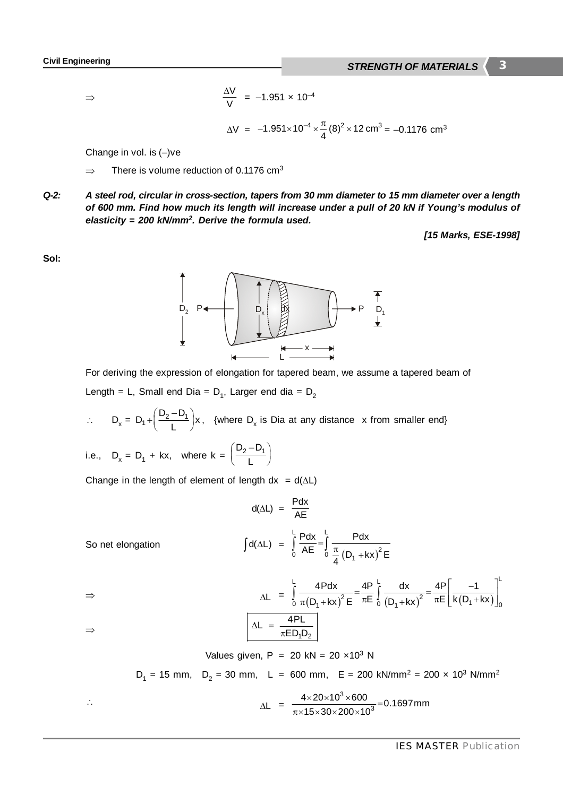$\Rightarrow$ 

$$
\frac{\Delta V}{V} = -1.951 \times 10^{-4}
$$

$$
\Delta V = -1.951 \times 10^{-4} \times \frac{\pi}{4} (8)^2 \times 12 \text{ cm}^3 = -0.1176 \text{ cm}^3
$$

Change in vol. is (–)ve

- $\Rightarrow$  There is volume reduction of 0.1176 cm<sup>3</sup>
- *Q-2: A steel rod, circular in cross-section, tapers from 30 mm diameter to 15 mm diameter over a length of 600 mm. Find how much its length will increase under a pull of 20 kN if Young's modulus of elasticity = 200 kN/mm<sup>2</sup> . Derive the formula used.*

*[15 Marks, ESE-1998]*

**Sol:**



For deriving the expression of elongation for tapered beam, we assume a tapered beam of Length = L, Small end Dia =  $D_1$ , Larger end dia =  $D_2$ 

$$
\therefore D_x = D_1 + \left(\frac{D_2 - D_1}{L}\right) x, \text{ {where } D_x \text{ is Dia at any distance } x \text{ from smaller end}}
$$

i.e., 
$$
D_x = D_1 + kx
$$
, where  $k = \left(\frac{D_2 - D_1}{L}\right)$ 

Change in the length of element of length  $dx = d(\Delta L)$ 

$$
d(\Delta L) = \frac{Pdx}{AE}
$$

So net elongation  $(D_1 + kx)^2$  $L_{\rm{D},u}$ ,  $L$  $\int_{0}^{1} \text{AE} \quad \int_{0}^{1} \frac{\pi}{4} (D_1 + kx)^2$ Pdx Pdx AE  $\int_{0}^{1} \frac{\pi}{4} (D_1 + kx)^2 E$  $\int_{0}^{1} \frac{dA}{dE} = \int_{0}^{1} \frac{\pi}{4} (D_{1} +$ 

$$
\Delta L = \int_{0}^{L} \frac{4Pdx}{\pi (D_1 + kx)^2 E} = \frac{4P}{\pi E} \int_{0}^{L} \frac{dx}{(D_1 + kx)^2} = \frac{4P}{\pi E} \left[ \frac{-1}{k(D_1 + kx)} \right]_{0}^{L}
$$
  
\n
$$
\Delta L = \frac{4PL}{\pi E D_1 D_2}
$$

 $\Rightarrow$ 

Values given, P = 20 kN = 20 ×10<sup>3</sup> N  
D<sub>1</sub> = 15 mm, D<sub>2</sub> = 30 mm, L = 600 mm, E = 200 kN/mm<sup>2</sup> = 200 × 10<sup>3</sup> N/mm<sup>2</sup>  
∴  

$$
\Delta L = \frac{4 \times 20 \times 10^3 \times 600}{\pi \times 15 \times 30 \times 200 \times 10^3} = 0.1697 mm
$$